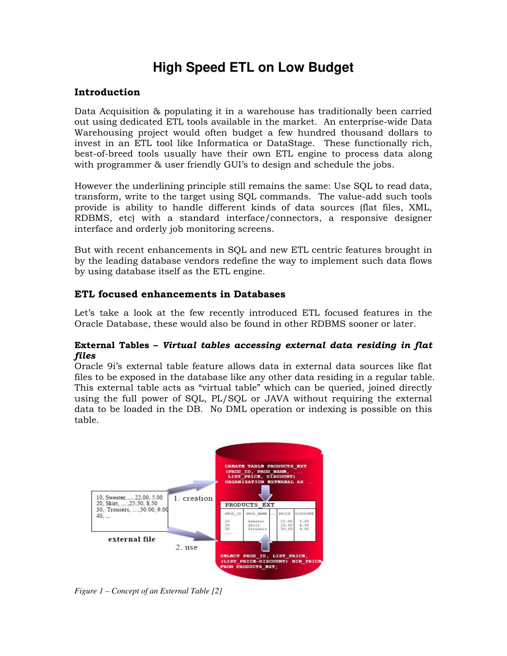# **High Speed ETL on Low Budget**

#### **Introduction**

Data Acquisition & populating it in a warehouse has traditionally been carried out using dedicated ETL tools available in the market. An enterprise-wide Data Warehousing project would often budget a few hundred thousand dollars to invest in an ETL tool like Informatica or DataStage. These functionally rich, best-of-breed tools usually have their own ETL engine to process data along with programmer & user friendly GUI's to design and schedule the jobs.

However the underlining principle still remains the same: Use SQL to read data, transform, write to the target using SQL commands. The value-add such tools provide is ability to handle different kinds of data sources (flat files, XML, RDBMS, etc) with a standard interface/connectors, a responsive designer interface and orderly job monitoring screens.

But with recent enhancements in SQL and new ETL centric features brought in by the leading database vendors redefine the way to implement such data flows by using database itself as the ETL engine.

### **ETL focused enhancements in Databases**

Let's take a look at the few recently introduced ETL focused features in the Oracle Database, these would also be found in other RDBMS sooner or later.

#### **External Tables –** *Virtual tables accessing external data residing in flat files*

Oracle 9i's external table feature allows data in external data sources like flat files to be exposed in the database like any other data residing in a regular table. This external table acts as "virtual table" which can be queried, joined directly using the full power of SQL, PL/SQL or JAVA without requiring the external data to be loaded in the DB. No DML operation or indexing is possible on this table.



*Figure 1 – Concept of an External Table [2]*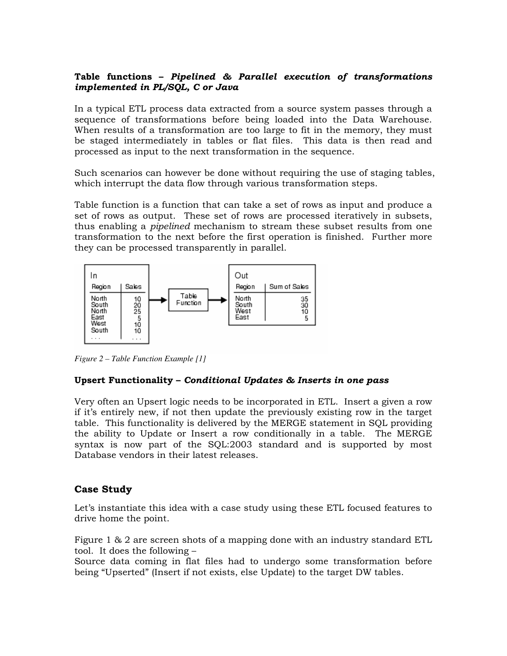#### **Table functions –** *Pipelined & Parallel execution of transformations implemented in PL/SQL, C or Java*

In a typical ETL process data extracted from a source system passes through a sequence of transformations before being loaded into the Data Warehouse. When results of a transformation are too large to fit in the memory, they must be staged intermediately in tables or flat files. This data is then read and processed as input to the next transformation in the sequence.

Such scenarios can however be done without requiring the use of staging tables, which interrupt the data flow through various transformation steps.

Table function is a function that can take a set of rows as input and produce a set of rows as output. These set of rows are processed iteratively in subsets, thus enabling a *pipelined* mechanism to stream these subset results from one transformation to the next before the first operation is finished. Further more they can be processed transparently in parallel.



*Figure 2 – Table Function Example [1]* 

#### **Upsert Functionality –** *Conditional Updates & Inserts in one pass*

Very often an Upsert logic needs to be incorporated in ETL. Insert a given a row if it's entirely new, if not then update the previously existing row in the target table. This functionality is delivered by the MERGE statement in SQL providing the ability to Update or Insert a row conditionally in a table. The MERGE syntax is now part of the SQL:2003 standard and is supported by most Database vendors in their latest releases.

## **Case Study**

Let's instantiate this idea with a case study using these ETL focused features to drive home the point.

Figure 1 & 2 are screen shots of a mapping done with an industry standard ETL tool. It does the following –

Source data coming in flat files had to undergo some transformation before being "Upserted" (Insert if not exists, else Update) to the target DW tables.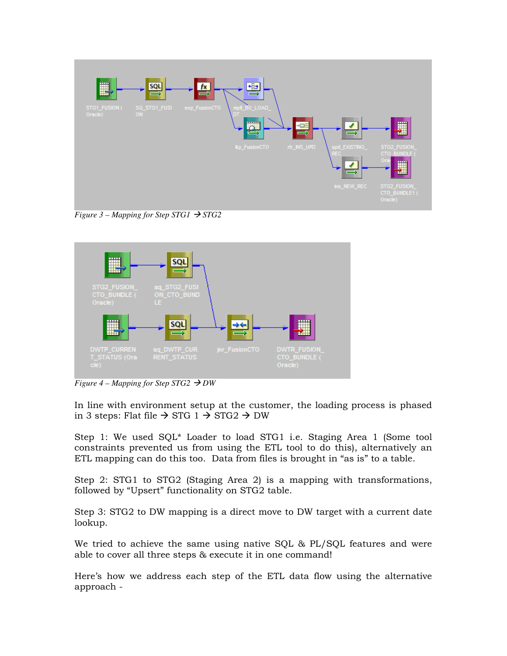

*Figure 3 – Mapping for Step STG1*  $\rightarrow$  *STG2* 



*Figure 4 – Mapping for Step STG2*  $\rightarrow$  *DW* 

In line with environment setup at the customer, the loading process is phased in 3 steps: Flat file  $\rightarrow$  STG 1  $\rightarrow$  STG2  $\rightarrow$  DW

Step 1: We used SQL\* Loader to load STG1 i.e. Staging Area 1 (Some tool constraints prevented us from using the ETL tool to do this), alternatively an ETL mapping can do this too. Data from files is brought in "as is" to a table.

Step 2: STG1 to STG2 (Staging Area 2) is a mapping with transformations, followed by "Upsert" functionality on STG2 table.

Step 3: STG2 to DW mapping is a direct move to DW target with a current date lookup.

We tried to achieve the same using native SQL & PL/SQL features and were able to cover all three steps & execute it in one command!

Here's how we address each step of the ETL data flow using the alternative approach -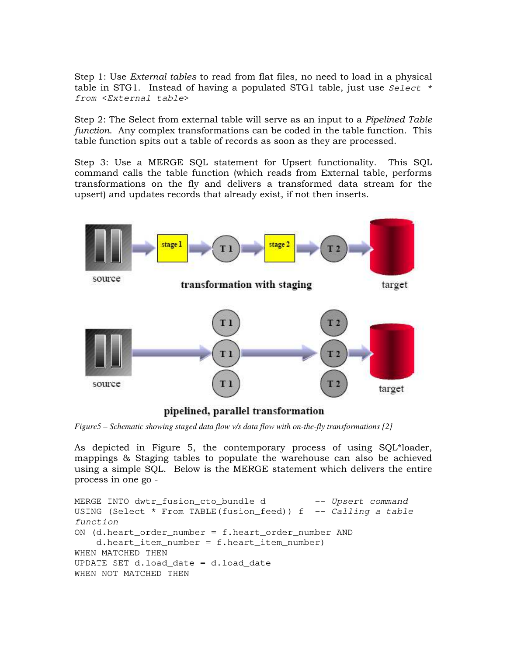Step 1: Use *External tables* to read from flat files, no need to load in a physical table in STG1. Instead of having a populated STG1 table, just use  $Select *$ from <External table>

Step 2: The Select from external table will serve as an input to a *Pipelined Table function*. Any complex transformations can be coded in the table function. This table function spits out a table of records as soon as they are processed.

Step 3: Use a MERGE SQL statement for Upsert functionality. This SQL command calls the table function (which reads from External table, performs transformations on the fly and delivers a transformed data stream for the upsert) and updates records that already exist, if not then inserts.



*Figure5 – Schematic showing staged data flow v/s data flow with on-the-fly transformations [2]* 

As depicted in Figure 5, the contemporary process of using SQL\*loader, mappings & Staging tables to populate the warehouse can also be achieved using a simple SQL. Below is the MERGE statement which delivers the entire process in one go -

```
MERGE INTO dwtr_fusion_cto_bundle d -- Upsert command
USING (Select * From TABLE(fusion_feed)) f -- Calling a table
function 
ON (d.heart_order_number = f.heart_order_number AND 
     d.heart_item_number = f.heart_item_number) 
WHEN MATCHED THEN 
UPDATE SET d.load_date = d.load_date 
WHEN NOT MATCHED THEN
```